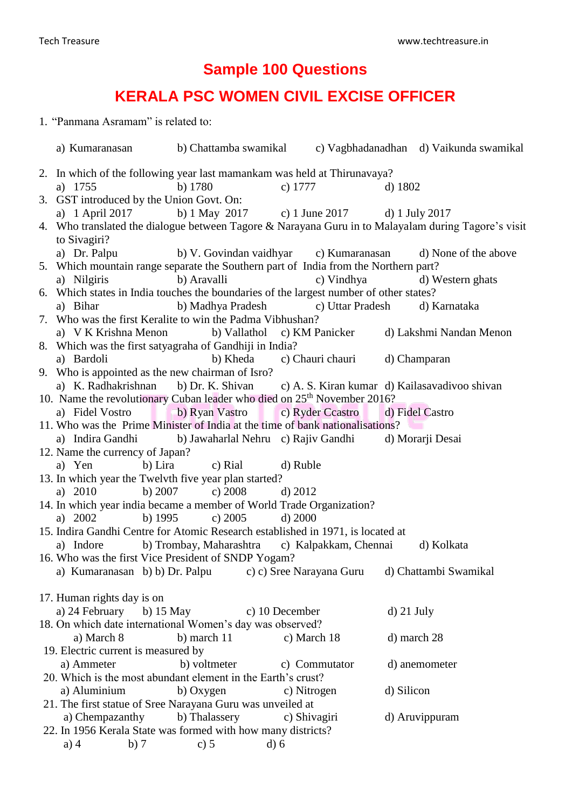## **Sample 100 Questions**

## **KERALA PSC WOMEN CIVIL EXCISE OFFICER**

1. "Panmana Asramam" is related to:

| a) Kumaranasan b) Chattamba swamikal c) Vagbhadanadhan d) Vaikunda swamikal                                         |                                                 |                |                                        |              |                                                             |
|---------------------------------------------------------------------------------------------------------------------|-------------------------------------------------|----------------|----------------------------------------|--------------|-------------------------------------------------------------|
| 2. In which of the following year last mamankam was held at Thirunavaya?<br>a) 1755                                 | b) $1780$                                       | c) $1777$      |                                        | d) $1802$    |                                                             |
| 3. GST introduced by the Union Govt. On:                                                                            |                                                 |                |                                        |              |                                                             |
| a) 1 April 2017                                                                                                     | b) 1 May 2017 c) 1 June 2017 d) 1 July 2017     |                |                                        |              |                                                             |
| 4. Who translated the dialogue between Tagore & Narayana Guru in to Malayalam during Tagore's visit<br>to Sivagiri? |                                                 |                |                                        |              |                                                             |
| a) Dr. Palpu                                                                                                        |                                                 |                |                                        |              | b) V. Govindan vaidhyar c) Kumaranasan d) None of the above |
| 5. Which mountain range separate the Southern part of India from the Northern part?                                 |                                                 |                |                                        |              |                                                             |
| a) Nilgiris<br>6. Which states in India touches the boundaries of the largest number of other states?               | b) Aravalli                                     |                | c) Vindhya                             |              | d) Western ghats                                            |
| a) Bihar                                                                                                            | b) Madhya Pradesh c) Uttar Pradesh d) Karnataka |                |                                        |              |                                                             |
| 7. Who was the first Keralite to win the Padma Vibhushan?                                                           |                                                 |                |                                        |              |                                                             |
| a) V K Krishna Menon b) Vallathol c) KM Panicker                                                                    |                                                 |                |                                        |              | d) Lakshmi Nandan Menon                                     |
| 8. Which was the first satyagraha of Gandhiji in India?                                                             |                                                 |                |                                        |              |                                                             |
| a) Bardoli                                                                                                          |                                                 |                | b) Kheda c) Chauri chauri d) Champaran |              |                                                             |
| 9. Who is appointed as the new chairman of Isro?                                                                    |                                                 |                |                                        |              |                                                             |
| a) K. Radhakrishnan b) Dr. K. Shivan c) A. S. Kiran kumar d) Kailasavadivoo shivan                                  |                                                 |                |                                        |              |                                                             |
| 10. Name the revolutionary Cuban leader who died on 25 <sup>th</sup> November 2016?                                 |                                                 |                |                                        |              |                                                             |
| a) Fidel Vostro b) Ryan Vastro c) Ryder Ccastro                                                                     |                                                 |                |                                        |              | d) Fidel Castro                                             |
| 11. Who was the Prime Minister of India at the time of bank nationalisations?                                       |                                                 |                |                                        |              |                                                             |
| a) Indira Gandhi b) Jawaharlal Nehru c) Rajiv Gandhi d) Morarji Desai                                               |                                                 |                |                                        |              |                                                             |
| 12. Name the currency of Japan?                                                                                     |                                                 |                |                                        |              |                                                             |
| a) Yen                                                                                                              | b) Lira c) Rial                                 | d) Ruble       |                                        |              |                                                             |
| 13. In which year the Twelvth five year plan started?                                                               |                                                 |                |                                        |              |                                                             |
| a) 2010                                                                                                             | b) $2007$ c) $2008$ d) $2012$                   |                |                                        |              |                                                             |
| 14. In which year india became a member of World Trade Organization?                                                |                                                 |                |                                        |              |                                                             |
| a) $2002$<br>b) $1995$                                                                                              | c) $2005$                                       | d) 2000        |                                        |              |                                                             |
| 15. Indira Gandhi Centre for Atomic Research established in 1971, is located at                                     |                                                 |                |                                        |              |                                                             |
| a) Indore                                                                                                           | b) Trombay, Maharashtra c) Kalpakkam, Chennai   |                |                                        |              | d) Kolkata                                                  |
| 16. Who was the first Vice President of SNDP Yogam?                                                                 |                                                 |                |                                        |              |                                                             |
| a) Kumaranasan b) b) Dr. Palpu                                                                                      |                                                 |                | c) c) Sree Narayana Guru               |              | d) Chattambi Swamikal                                       |
|                                                                                                                     |                                                 |                |                                        |              |                                                             |
| 17. Human rights day is on<br>a) 24 February<br>b) $15$ May                                                         |                                                 | c) 10 December |                                        | $d)$ 21 July |                                                             |
| 18. On which date international Women's day was observed?                                                           |                                                 |                |                                        |              |                                                             |
| a) March 8                                                                                                          | b) march $11$                                   | c) March 18    |                                        |              | d) march 28                                                 |
| 19. Electric current is measured by                                                                                 |                                                 |                |                                        |              |                                                             |
| a) Ammeter                                                                                                          | b) voltmeter                                    |                | c) Commutator                          |              | d) anemometer                                               |
| 20. Which is the most abundant element in the Earth's crust?                                                        |                                                 |                |                                        |              |                                                             |
| a) Aluminium                                                                                                        | b) Oxygen                                       | c) Nitrogen    |                                        | d) Silicon   |                                                             |
| 21. The first statue of Sree Narayana Guru was unveiled at                                                          |                                                 |                |                                        |              |                                                             |
| a) Chempazanthy                                                                                                     | b) Thalassery                                   | c) Shivagiri   |                                        |              | d) Aruvippuram                                              |
| 22. In 1956 Kerala State was formed with how many districts?                                                        |                                                 |                |                                        |              |                                                             |
| $a)$ 4<br>b)7                                                                                                       | c) $5$                                          | $d$ ) 6        |                                        |              |                                                             |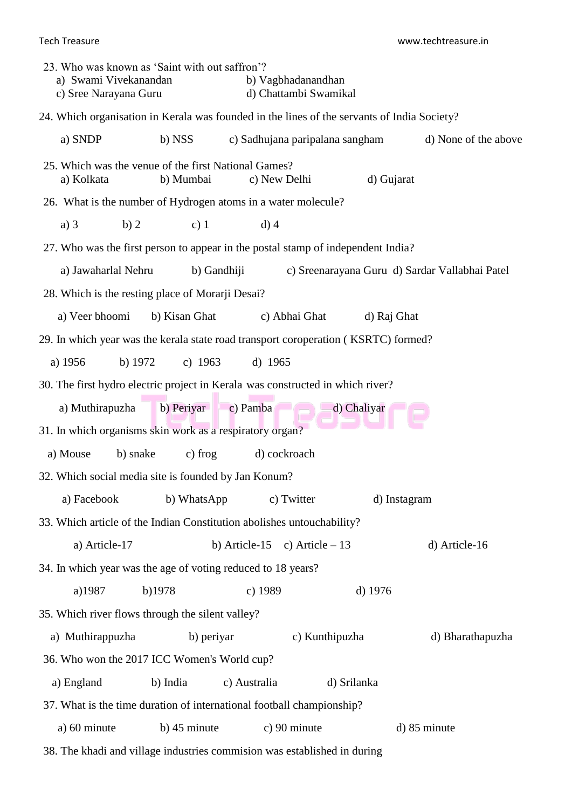Tech Treasure www.techtreasure.in

| 23. Who was known as 'Saint with out saffron'?<br>a) Swami Vivekanandan<br>c) Sree Narayana Guru |                | b) Vagbhadanandhan              | d) Chattambi Swamikal |                                                |  |
|--------------------------------------------------------------------------------------------------|----------------|---------------------------------|-----------------------|------------------------------------------------|--|
| 24. Which organisation in Kerala was founded in the lines of the servants of India Society?      |                |                                 |                       |                                                |  |
| a) SNDP                                                                                          | b) NSS         | c) Sadhujana paripalana sangham |                       | d) None of the above                           |  |
| 25. Which was the venue of the first National Games?<br>a) Kolkata                               | b) Mumbai      | c) New Delhi                    |                       | d) Gujarat                                     |  |
| 26. What is the number of Hydrogen atoms in a water molecule?                                    |                |                                 |                       |                                                |  |
| a) $3$<br>b)2                                                                                    | c) $1$         | $d)$ 4                          |                       |                                                |  |
| 27. Who was the first person to appear in the postal stamp of independent India?                 |                |                                 |                       |                                                |  |
| a) Jawaharlal Nehru                                                                              |                | b) Gandhiji                     |                       | c) Sreenarayana Guru d) Sardar Vallabhai Patel |  |
| 28. Which is the resting place of Morarji Desai?                                                 |                |                                 |                       |                                                |  |
| a) Veer bhoomi                                                                                   | b) Kisan Ghat  | c) Abhai Ghat                   |                       | d) Raj Ghat                                    |  |
| 29. In which year was the kerala state road transport coroperation (KSRTC) formed?               |                |                                 |                       |                                                |  |
| a) 1956<br>$b)$ 1972                                                                             | c) $1963$      | d) $1965$                       |                       |                                                |  |
| 30. The first hydro electric project in Kerala was constructed in which river?                   |                |                                 |                       |                                                |  |
| a) Muthirapuzha                                                                                  |                | b) Periyar c) Pamba             | d) Chaliyar           |                                                |  |
| 31. In which organisms skin work as a respiratory organ?                                         |                |                                 |                       |                                                |  |
| a) Mouse<br>b) snake                                                                             | c) frog        | d) cockroach                    |                       |                                                |  |
| 32. Which social media site is founded by Jan Konum?                                             |                |                                 |                       |                                                |  |
| a) Facebook                                                                                      | b) WhatsApp    | c) Twitter                      |                       | d) Instagram                                   |  |
| 33. Which article of the Indian Constitution abolishes untouchability?                           |                |                                 |                       |                                                |  |
| a) Article-17                                                                                    |                | b) Article-15                   | c) Article $-13$      | d) Article-16                                  |  |
| 34. In which year was the age of voting reduced to 18 years?                                     |                |                                 |                       |                                                |  |
| a)1987                                                                                           | b)1978         | c) 1989                         |                       | d) 1976                                        |  |
| 35. Which river flows through the silent valley?                                                 |                |                                 |                       |                                                |  |
| a) Muthirappuzha                                                                                 |                | b) periyar                      | c) Kunthipuzha        | d) Bharathapuzha                               |  |
| 36. Who won the 2017 ICC Women's World cup?                                                      |                |                                 |                       |                                                |  |
| a) England                                                                                       | b) India       | c) Australia                    | d) Srilanka           |                                                |  |
| 37. What is the time duration of international football championship?                            |                |                                 |                       |                                                |  |
| a) 60 minute                                                                                     | $b)$ 45 minute | c) 90 minute                    |                       | d) 85 minute                                   |  |
| 38. The khadi and village industries commision was established in during                         |                |                                 |                       |                                                |  |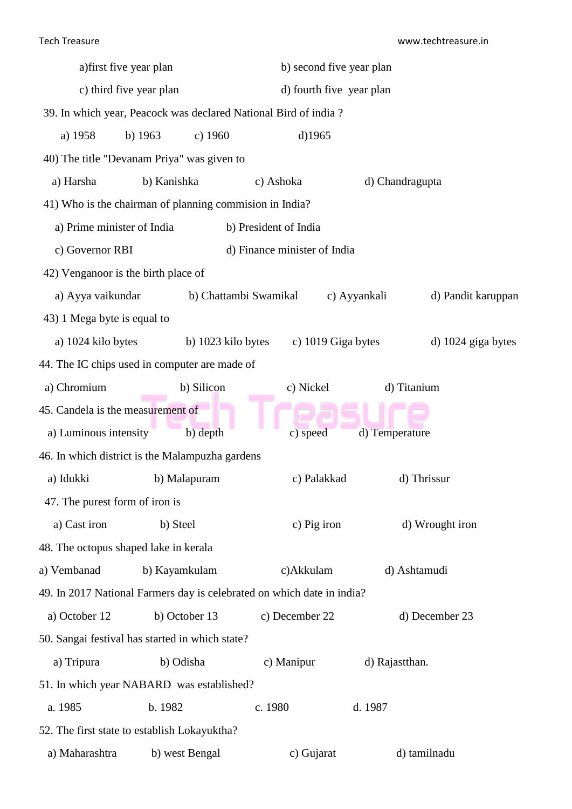| a) first five year plan                                                |                      |                              | b) second five year plan |                    |  |  |  |
|------------------------------------------------------------------------|----------------------|------------------------------|--------------------------|--------------------|--|--|--|
| c) third five year plan                                                |                      |                              | d) fourth five year plan |                    |  |  |  |
| 39. In which year, Peacock was declared National Bird of india?        |                      |                              |                          |                    |  |  |  |
| a) 1958                                                                | b) $1963$<br>c) 1960 | $d$ )1965                    |                          |                    |  |  |  |
| 40) The title "Devanam Priya" was given to                             |                      |                              |                          |                    |  |  |  |
| a) Harsha                                                              | b) Kanishka          | c) Ashoka                    | d) Chandragupta          |                    |  |  |  |
| 41) Who is the chairman of planning commision in India?                |                      |                              |                          |                    |  |  |  |
| a) Prime minister of India                                             |                      | b) President of India        |                          |                    |  |  |  |
| c) Governor RBI                                                        |                      | d) Finance minister of India |                          |                    |  |  |  |
| 42) Venganoor is the birth place of                                    |                      |                              |                          |                    |  |  |  |
| a) Ayya vaikundar                                                      |                      | b) Chattambi Swamikal        | c) Ayyankali             | d) Pandit karuppan |  |  |  |
| 43) 1 Mega byte is equal to                                            |                      |                              |                          |                    |  |  |  |
| a) 1024 kilo bytes                                                     |                      | b) 1023 kilo bytes           | c) 1019 Giga bytes       | d) 1024 giga bytes |  |  |  |
| 44. The IC chips used in computer are made of                          |                      |                              |                          |                    |  |  |  |
| a) Chromium                                                            | b) Silicon           | c) Nickel                    |                          | d) Titanium        |  |  |  |
| 45. Candela is the measurement of                                      |                      |                              |                          |                    |  |  |  |
| a) Luminous intensity                                                  | b) depth             | c) speed                     | d) Temperature           |                    |  |  |  |
| 46. In which district is the Malampuzha gardens                        |                      |                              |                          |                    |  |  |  |
| a) Idukki                                                              | b) Malapuram         |                              | c) Palakkad              | d) Thrissur        |  |  |  |
| 47. The purest form of iron is                                         |                      |                              |                          |                    |  |  |  |
| a) Cast iron                                                           | b) Steel             | c) Pig iron                  |                          | d) Wrought iron    |  |  |  |
| 48. The octopus shaped lake in kerala                                  |                      |                              |                          |                    |  |  |  |
| a) Vembanad                                                            | b) Kayamkulam        | c)Akkulam                    |                          | d) Ashtamudi       |  |  |  |
| 49. In 2017 National Farmers day is celebrated on which date in india? |                      |                              |                          |                    |  |  |  |
| a) October 12                                                          | b) October 13        | c) December 22               |                          | d) December 23     |  |  |  |
| 50. Sangai festival has started in which state?                        |                      |                              |                          |                    |  |  |  |
| a) Tripura                                                             | b) Odisha            | c) Manipur                   | d) Rajastthan.           |                    |  |  |  |
| 51. In which year NABARD was established?                              |                      |                              |                          |                    |  |  |  |
| a. 1985                                                                | b. 1982              | c. 1980                      | d. 1987                  |                    |  |  |  |
| 52. The first state to establish Lokayuktha?                           |                      |                              |                          |                    |  |  |  |
| a) Maharashtra                                                         | b) west Bengal       | c) Gujarat                   |                          | d) tamilnadu       |  |  |  |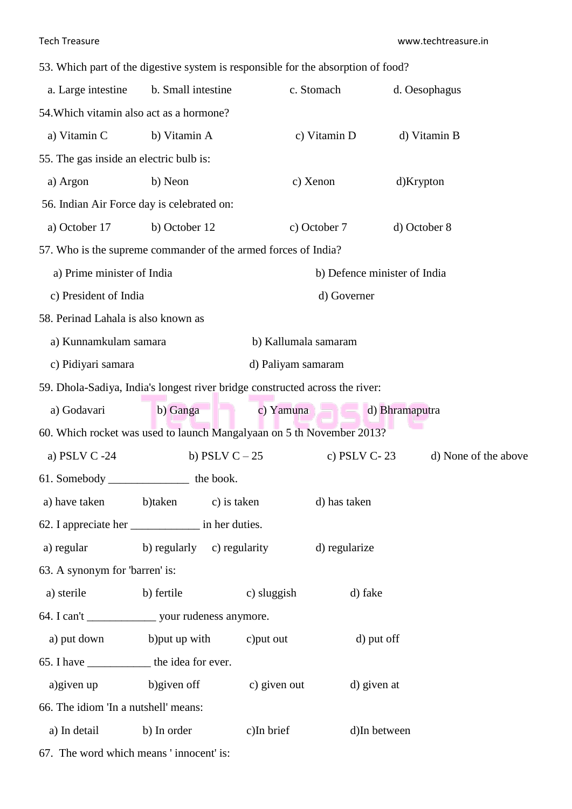|  |  | 53. Which part of the digestive system is responsible for the absorption of food? |  |  |  |  |
|--|--|-----------------------------------------------------------------------------------|--|--|--|--|
|  |  |                                                                                   |  |  |  |  |

| a. Large intestine<br>b. Small intestine                                     |               | c. Stomach                 | d. Oesophagus        |                              |
|------------------------------------------------------------------------------|---------------|----------------------------|----------------------|------------------------------|
| 54. Which vitamin also act as a hormone?                                     |               |                            |                      |                              |
| a) Vitamin C                                                                 | b) Vitamin A  |                            | c) Vitamin D         | d) Vitamin B                 |
| 55. The gas inside an electric bulb is:                                      |               |                            |                      |                              |
| a) Argon                                                                     | b) Neon       |                            | c) Xenon             | d)Krypton                    |
| 56. Indian Air Force day is celebrated on:                                   |               |                            |                      |                              |
| a) October 17                                                                | b) October 12 |                            | c) October 7         | d) October 8                 |
| 57. Who is the supreme commander of the armed forces of India?               |               |                            |                      |                              |
| a) Prime minister of India                                                   |               |                            |                      | b) Defence minister of India |
| c) President of India                                                        |               |                            | d) Governer          |                              |
| 58. Perinad Lahala is also known as                                          |               |                            |                      |                              |
| a) Kunnamkulam samara                                                        |               |                            | b) Kallumala samaram |                              |
| c) Pidiyari samara                                                           |               |                            | d) Paliyam samaram   |                              |
| 59. Dhola-Sadiya, India's longest river bridge constructed across the river: |               |                            |                      |                              |
| a) Godavari                                                                  | b) Ganga      |                            | c) Yamuna            | d) Bhramaputra               |
| 60. Which rocket was used to launch Mangalyaan on 5 th November 2013?        |               |                            |                      |                              |
| a) PSLV C -24                                                                |               | b) PSLV $C-25$             | c) PSLV $C-23$       | d) None of the above         |
|                                                                              |               |                            |                      |                              |
| a) have taken                                                                | b)taken       | c) is taken                | d) has taken         |                              |
|                                                                              |               |                            |                      |                              |
| a) regular                                                                   |               | b) regularly c) regularity | d) regularize        |                              |
| 63. A synonym for 'barren' is:                                               |               |                            |                      |                              |
| a) sterile                                                                   | b) fertile    | c) sluggish                | d) fake              |                              |
|                                                                              |               |                            |                      |                              |
| a) put down b) put up with c) put out                                        |               |                            |                      | d) put off                   |
| 65. I have ________________ the idea for ever.                               |               |                            |                      |                              |
| a) given up b) given off                                                     |               |                            | c) given out         | d) given at                  |
| 66. The idiom 'In a nutshell' means:                                         |               |                            |                      |                              |
| a) In detail                                                                 | b) In order   | $c)$ In brief              |                      | d)In between                 |
| 67. The word which means 'innocent' is:                                      |               |                            |                      |                              |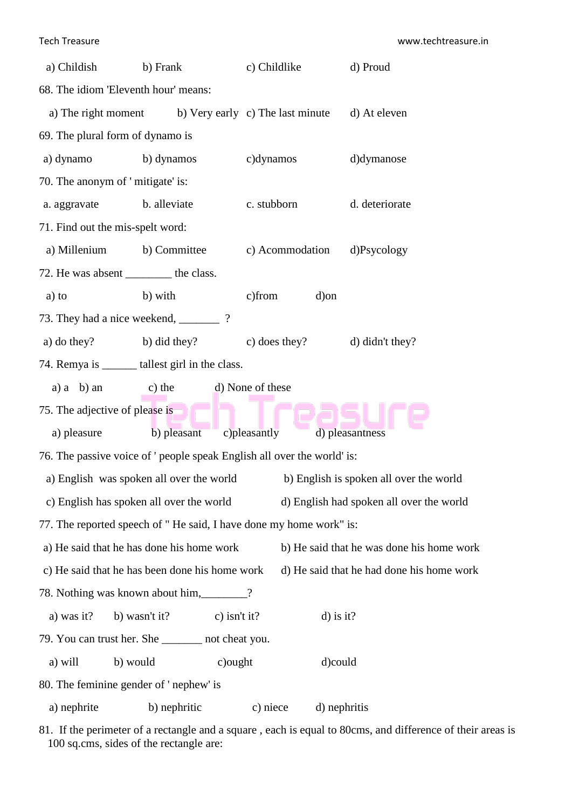| a) Childish<br>b) Frank                                                 |                                                      |                  | c) Childlike    | d) Proud                                         |  |  |  |  |
|-------------------------------------------------------------------------|------------------------------------------------------|------------------|-----------------|--------------------------------------------------|--|--|--|--|
| 68. The idiom 'Eleventh hour' means:                                    |                                                      |                  |                 |                                                  |  |  |  |  |
|                                                                         | a) The right moment b) Very early c) The last minute |                  |                 | d) At eleven                                     |  |  |  |  |
| 69. The plural form of dynamo is                                        |                                                      |                  |                 |                                                  |  |  |  |  |
| a) dynamo                                                               | b) dynamos                                           |                  | c)dynamos       | d)dymanose                                       |  |  |  |  |
| 70. The anonym of 'mitigate' is:                                        |                                                      |                  |                 |                                                  |  |  |  |  |
| a. aggravate                                                            | b. alleviate                                         |                  | c. stubborn     | d. deteriorate<br>d)Psycology<br>d) didn't they? |  |  |  |  |
| 71. Find out the mis-spelt word:                                        |                                                      |                  |                 |                                                  |  |  |  |  |
|                                                                         | a) Millenium b) Committee                            |                  | c) Acommodation |                                                  |  |  |  |  |
| 72. He was absent __________ the class.                                 |                                                      |                  |                 |                                                  |  |  |  |  |
| a) to                                                                   | b) with                                              | c)from           | d) on           |                                                  |  |  |  |  |
| 73. They had a nice weekend, _________?                                 |                                                      |                  |                 |                                                  |  |  |  |  |
|                                                                         | a) do they? b) did they?                             |                  | c) does they?   |                                                  |  |  |  |  |
| 74. Remya is _______ tallest girl in the class.                         |                                                      |                  |                 |                                                  |  |  |  |  |
| a) $a$ b) an                                                            | c) the                                               | d) None of these |                 |                                                  |  |  |  |  |
| 75. The adjective of please is                                          |                                                      |                  |                 |                                                  |  |  |  |  |
| a) pleasure                                                             | b) pleasant                                          | c)pleasantly     |                 | d) pleasantness                                  |  |  |  |  |
| 76. The passive voice of ' people speak English all over the world' is: |                                                      |                  |                 |                                                  |  |  |  |  |
|                                                                         | a) English was spoken all over the world             |                  |                 | b) English is spoken all over the world          |  |  |  |  |
|                                                                         | c) English has spoken all over the world             |                  |                 | d) English had spoken all over the world         |  |  |  |  |
| 77. The reported speech of "He said, I have done my home work" is:      |                                                      |                  |                 |                                                  |  |  |  |  |
|                                                                         | a) He said that he has done his home work            |                  |                 | b) He said that he was done his home work        |  |  |  |  |
|                                                                         | c) He said that he has been done his home work       |                  |                 | d) He said that he had done his home work        |  |  |  |  |
| 78. Nothing was known about him, 2012.                                  |                                                      |                  |                 |                                                  |  |  |  |  |
| a) was it?<br>b) wasn't it?<br>c) isn't it?<br>$d)$ is it?              |                                                      |                  |                 |                                                  |  |  |  |  |
| 79. You can trust her. She ________ not cheat you.                      |                                                      |                  |                 |                                                  |  |  |  |  |
| a) will                                                                 | b) would                                             | c) ought         |                 | d)could                                          |  |  |  |  |
| 80. The feminine gender of 'nephew' is                                  |                                                      |                  |                 |                                                  |  |  |  |  |
| a) nephrite                                                             | b) nephritic                                         | c) niece         |                 | d) nephritis                                     |  |  |  |  |

81. If the perimeter of a rectangle and a square , each is equal to 80cms, and difference of their areas is 100 sq.cms, sides of the rectangle are: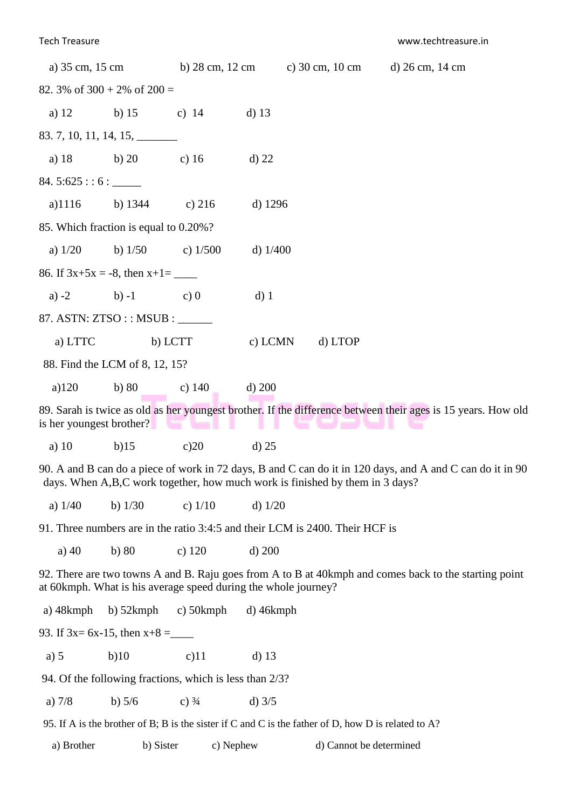| a) 35 cm, 15 cm                                                              |                                                                                                                                                                                           | b) $28 \text{ cm}$ , $12 \text{ cm}$                           |                 |  | c) $30 \text{ cm}$ , $10 \text{ cm}$ | d) 26 cm, 14 cm                                                                                              |  |  |
|------------------------------------------------------------------------------|-------------------------------------------------------------------------------------------------------------------------------------------------------------------------------------------|----------------------------------------------------------------|-----------------|--|--------------------------------------|--------------------------------------------------------------------------------------------------------------|--|--|
| 82. 3% of $300 + 2\%$ of $200 =$                                             |                                                                                                                                                                                           |                                                                |                 |  |                                      |                                                                                                              |  |  |
| a) $12$                                                                      | b) 15 c) 14                                                                                                                                                                               |                                                                | $d)$ 13         |  |                                      |                                                                                                              |  |  |
|                                                                              | $83.7, 10, 11, 14, 15, \_\_$                                                                                                                                                              |                                                                |                 |  |                                      |                                                                                                              |  |  |
|                                                                              | a) 18 b) 20 c) 16                                                                                                                                                                         |                                                                | $d)$ 22         |  |                                      |                                                                                                              |  |  |
| 84.5:625::6:                                                                 |                                                                                                                                                                                           |                                                                |                 |  |                                      |                                                                                                              |  |  |
| $a)$ 1116                                                                    | b) $1344$                                                                                                                                                                                 | c) $216$                                                       | d) $1296$       |  |                                      |                                                                                                              |  |  |
|                                                                              | 85. Which fraction is equal to 0.20%?                                                                                                                                                     |                                                                |                 |  |                                      |                                                                                                              |  |  |
| a) $1/20$                                                                    | b) $1/50$ c) $1/500$                                                                                                                                                                      |                                                                | d) $1/400$      |  |                                      |                                                                                                              |  |  |
|                                                                              | 86. If $3x+5x = -8$ , then $x+1 =$ ________                                                                                                                                               |                                                                |                 |  |                                      |                                                                                                              |  |  |
| a) $-2$                                                                      | b) $-1$ c) 0                                                                                                                                                                              |                                                                | $d)$ 1          |  |                                      |                                                                                                              |  |  |
|                                                                              | 87. ASTN: ZTSO : : MSUB : ______                                                                                                                                                          |                                                                |                 |  |                                      |                                                                                                              |  |  |
| a) LTTC                                                                      | b) LCTT                                                                                                                                                                                   |                                                                | c) LCMN         |  | d) LTOP                              |                                                                                                              |  |  |
|                                                                              | 88. Find the LCM of 8, 12, 15?                                                                                                                                                            |                                                                |                 |  |                                      |                                                                                                              |  |  |
| a)120                                                                        | b) $80$                                                                                                                                                                                   | c) $140$                                                       | $d)$ 200        |  |                                      |                                                                                                              |  |  |
| is her youngest brother?                                                     |                                                                                                                                                                                           | ---                                                            |                 |  |                                      | 89. Sarah is twice as old as her youngest brother. If the difference between their ages is 15 years. How old |  |  |
| a) $10$                                                                      | b)15                                                                                                                                                                                      | c)20                                                           | $d)$ 25         |  |                                      |                                                                                                              |  |  |
|                                                                              | 90. A and B can do a piece of work in 72 days, B and C can do it in 120 days, and A and C can do it in 90<br>days. When A,B,C work together, how much work is finished by them in 3 days? |                                                                |                 |  |                                      |                                                                                                              |  |  |
| a) $1/40$                                                                    | b) $1/30$                                                                                                                                                                                 | c) $1/10$                                                      | d) $1/20$       |  |                                      |                                                                                                              |  |  |
| 91. Three numbers are in the ratio 3:4:5 and their LCM is 2400. Their HCF is |                                                                                                                                                                                           |                                                                |                 |  |                                      |                                                                                                              |  |  |
| a) $40$                                                                      | b)80                                                                                                                                                                                      | $c)$ 120                                                       | $d)$ 200        |  |                                      |                                                                                                              |  |  |
|                                                                              |                                                                                                                                                                                           | at 60kmph. What is his average speed during the whole journey? |                 |  |                                      | 92. There are two towns A and B. Raju goes from A to B at 40kmph and comes back to the starting point        |  |  |
| a) $48$ kmph                                                                 | b) 52kmph                                                                                                                                                                                 | c) $50$ kmph                                                   | $d)$ 46 $k$ mph |  |                                      |                                                                                                              |  |  |

93. If  $3x= 6x-15$ , then  $x+8 =$ 

a) 5 b)10 c)11 d) 13

94. Of the following fractions, which is less than 2/3?

a)  $7/8$  b)  $5/6$  c)  $\frac{3}{4}$  d)  $\frac{3}{5}$ 

95. If A is the brother of B; B is the sister if C and C is the father of D, how D is related to A?

a) Brother b) Sister c) Nephew d) Cannot be determined